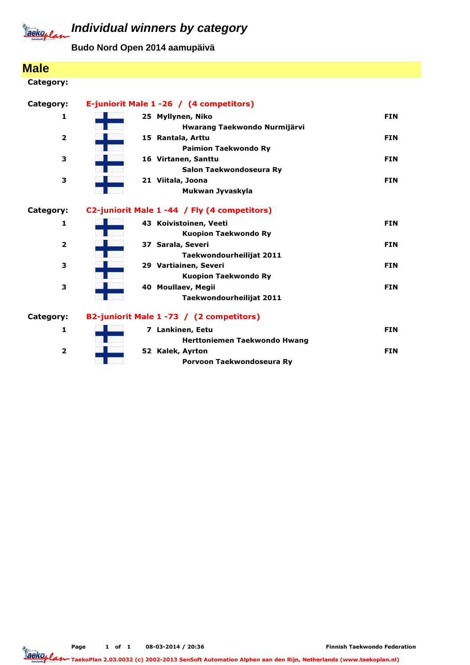

## **Individual winners by category**

**Budo Nord Open 2014 aamupäivä**

| <b>Male</b>             |                                                       |            |
|-------------------------|-------------------------------------------------------|------------|
| Category:               |                                                       |            |
| Category:               | E-juniorit Male 1 -26 / (4 competitors)               |            |
| 1                       | 25 Myllynen, Niko<br>Hwarang Taekwondo Nurmijärvi     | <b>FIN</b> |
| $\overline{\mathbf{2}}$ | 15 Rantala, Arttu<br><b>Paimion Taekwondo Ry</b>      | <b>FIN</b> |
| 3                       | 16 Virtanen, Santtu<br>Salon Taekwondoseura Ry        | <b>FIN</b> |
| 3                       | 21 Viitala, Joona<br>Mukwan Jyvaskyla                 | <b>FIN</b> |
| Category:               | C2-juniorit Male 1 -44 / Fly (4 competitors)          |            |
| 1                       | 43 Koivistoinen, Veeti<br><b>Kuopion Taekwondo Ry</b> | <b>FIN</b> |
| $\overline{2}$          | 37 Sarala, Severi<br>Taekwondourheilijat 2011         | <b>FIN</b> |
| з                       | 29 Vartiainen, Severi<br><b>Kuopion Taekwondo Ry</b>  | <b>FIN</b> |
| 3                       | 40 Moullaev, Megii<br>Taekwondourheilijat 2011        | <b>FIN</b> |
| Category:               | B2-juniorit Male 1 -73 / (2 competitors)              |            |
| 1                       | 7 Lankinen, Eetu<br>Herttoniemen Taekwondo Hwang      | <b>FIN</b> |
| $\overline{2}$          | 52 Kalek, Ayrton<br>Porvoon Taekwondoseura Ry         | <b>FIN</b> |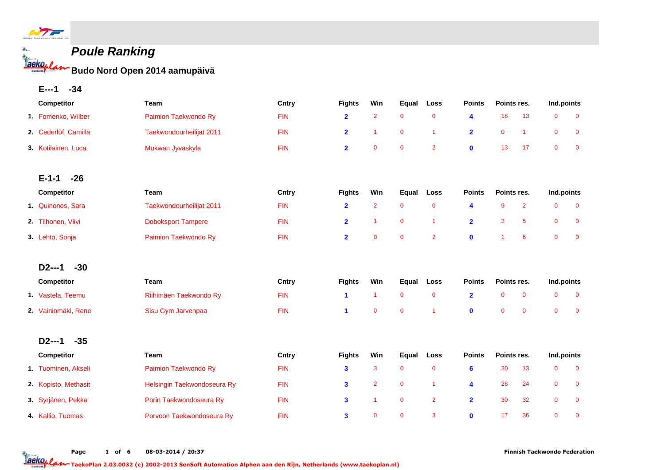

 $\mathcal{L}_{\mathbf{a}}$  .

# **Poule Ranking**

**Budo Nord Open 2014 aamupäivä**

**E---1 -34**

| Competitor           | Team                        | Cntry      | <b>Fights</b>                                                         | Win                  | Equal          | Loss                 | <b>Points</b>           | Points res.    |                | Ind.points   |                |
|----------------------|-----------------------------|------------|-----------------------------------------------------------------------|----------------------|----------------|----------------------|-------------------------|----------------|----------------|--------------|----------------|
| 1. Fomenko, Wilber   | Paimion Taekwondo Ry        | <b>FIN</b> | $\overline{2}$                                                        | $\overline{2}$       | $\mathbf 0$    | $\mathbf 0$          | 4                       | 18             | 13             | $\mathbf 0$  | $\mathbf 0$    |
| 2. Cederlöf, Camilla | Taekwondourheilijat 2011    | <b>FIN</b> | $\overline{2}$                                                        | $\mathbf{1}$         | $\mathbf 0$    | $\blacktriangleleft$ | $\overline{2}$          | $\mathbf 0$    | $\mathbf{1}$   | $\mathbf 0$  | $\mathbf 0$    |
| 3. Kotilainen, Luca  | Mukwan Jyvaskyla            | <b>FIN</b> | $\overline{2}$                                                        | $\mathbf 0$          | $\mathbf 0$    | $\overline{2}$       | $\bf{0}$                | 13             | 17             | $\mathbf{0}$ | $\mathbf 0$    |
| $E - 1 - 1$<br>$-26$ |                             |            |                                                                       |                      |                |                      |                         |                |                |              |                |
| Competitor           | Team                        | Cntry      | <b>Points</b><br>Points res.<br><b>Fights</b><br>Win<br>Equal<br>Loss |                      |                |                      | Ind.points              |                |                |              |                |
| 1. Quinones, Sara    | Taekwondourheilijat 2011    | <b>FIN</b> | $\overline{2}$                                                        | $\overline{2}$       | $\mathbf 0$    | $\mathbf 0$          | 4                       | 9              | $\overline{2}$ | $\mathbf 0$  | $\mathbf 0$    |
| 2. Tiihonen, Viivi   | <b>Doboksport Tampere</b>   | <b>FIN</b> | $\overline{\mathbf{2}}$                                               | $\mathbf{1}$         | $\mathbf 0$    | $\overline{1}$       | $\overline{\mathbf{2}}$ | 3              | 5              | $\mathbf 0$  | $\mathbf 0$    |
| 3. Lehto, Sonja      | Paimion Taekwondo Ry        | <b>FIN</b> | $\overline{\mathbf{2}}$                                               | $\mathbf 0$          | $\mathbf{0}$   | $\overline{2}$       | $\mathbf{0}$            | $\overline{1}$ | 6              | $\mathbf 0$  | $\mathbf 0$    |
| $-30$<br>$D2--1$     |                             |            |                                                                       |                      |                |                      |                         |                |                |              |                |
| Competitor           | Team                        | Cntry      | <b>Fights</b>                                                         | Win                  | Equal          | Loss                 | <b>Points</b>           | Points res.    |                | Ind.points   |                |
| 1 Vastela, Teemu     | Riihimäen Taekwondo Ry      | <b>FIN</b> | 1                                                                     | $\blacktriangleleft$ | $\mathbf 0$    | $\mathbf 0$          | $\overline{\mathbf{2}}$ | $\mathbf 0$    | $\mathbf 0$    | $\mathbf 0$  | $\mathbf 0$    |
| 2. Vainiomäki, Rene  | Sisu Gym Jarvenpaa          | <b>FIN</b> | 1                                                                     | $\mathbf{0}$         | $\overline{0}$ | $\overline{1}$       | $\bf{0}$                | $\mathbf{0}$   | $\mathbf{0}$   | $\mathbf{0}$ | $\overline{0}$ |
| $-35$<br>$D2--1$     |                             |            |                                                                       |                      |                |                      |                         |                |                |              |                |
| Competitor           | Team                        | Cntry      | <b>Fights</b>                                                         | Win                  | Equal          | Loss                 | <b>Points</b>           | Points res.    |                | Ind.points   |                |
| 1. Tuominen, Akseli  | Paimion Taekwondo Ry        | <b>FIN</b> | 3                                                                     | 3                    | $\mathbf 0$    | $\mathbf 0$          | 6                       | 30             | 13             | $\mathbf 0$  | $\mathbf 0$    |
| 2. Kopisto, Methasit | Helsingin Taekwondoseura Ry | <b>FIN</b> | 3                                                                     | $\overline{2}$       | $\mathbf 0$    | $\overline{1}$       | 4                       | 28             | 24             | $\mathbf 0$  | $\mathbf 0$    |
| 3. Syrjänen, Pekka   | Porin Taekwondoseura Ry     | <b>FIN</b> | 3                                                                     | $\mathbf{1}$         | $\mathbf 0$    | $\overline{2}$       | $\overline{\mathbf{2}}$ | 30             | 32             | $\mathbf 0$  | $\mathbf 0$    |
| 4 Kallio, Tuomas     | Porvoon Taekwondoseura Ry   | <b>FIN</b> | $\mathbf{3}$                                                          | $\mathbf{0}$         | $\mathbf 0$    | 3                    | $\mathbf{0}$            | 17             | 36             | $\mathbf{0}$ | $\mathbf{0}$   |

Page 1 of 6 08-03-2014 / 20:37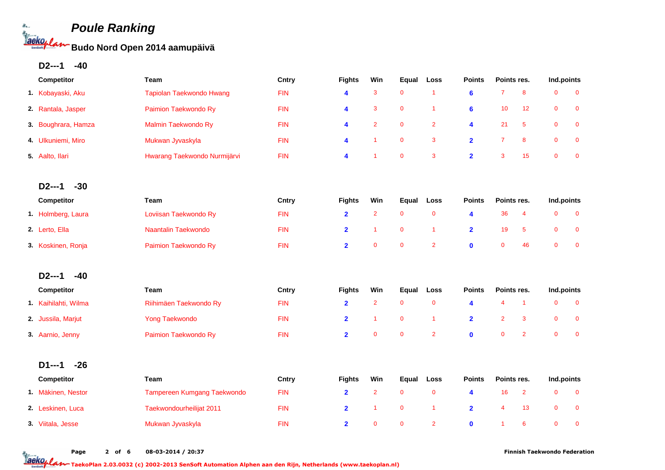**Budo Nord Open 2014 aamupäivä**

**D2---1 -40**

le.

**Saeko<sub>p</sub>l** 

| Competitor          | Team                         | Cntry      | <b>Fights</b>           | Win            | Equal       | Loss           | <b>Points</b>           |                | Points res.             |                | Ind.points   |
|---------------------|------------------------------|------------|-------------------------|----------------|-------------|----------------|-------------------------|----------------|-------------------------|----------------|--------------|
| 1. Kobayaski, Aku   | Tapiolan Taekwondo Hwang     | <b>FIN</b> | 4                       | 3              | $\mathbf 0$ | $\mathbf{1}$   | $6\phantom{a}$          | $\overline{7}$ | 8                       | $\mathbf 0$    | $\mathbf 0$  |
| 2. Rantala, Jasper  | Paimion Taekwondo Ry         | <b>FIN</b> | 4                       | 3              | $\mathbf 0$ | $\mathbf{1}$   | $6\phantom{1}6$         | 10             | 12                      | $\overline{0}$ | $\mathbf{0}$ |
| 3. Boughrara, Hamza | Malmin Taekwondo Ry          | <b>FIN</b> | 4                       | $\overline{2}$ | $\mathbf 0$ | $\overline{2}$ | 4                       | 21             | 5                       | $\mathbf 0$    | $\bf{0}$     |
| 4. Ulkuniemi, Miro  | Mukwan Jyvaskyla             | <b>FIN</b> | 4                       | $\overline{1}$ | $\mathbf 0$ | $\mathbf{3}$   | $\overline{\mathbf{2}}$ | $\overline{7}$ | 8                       | $\mathbf 0$    | $\mathbf 0$  |
| 5. Aalto, Ilari     | Hwarang Taekwondo Nurmijärvi | <b>FIN</b> | 4                       | -1             | $\mathbf 0$ | $\mathbf{3}$   | $\overline{\mathbf{2}}$ | 3              | 15                      | $\mathbf 0$    | $\mathbf 0$  |
| $-30$<br>$D2--1$    |                              |            |                         |                |             |                |                         |                |                         |                |              |
| Competitor          | Team                         | Cntry      | <b>Fights</b>           | Win            | Equal       | Loss           | <b>Points</b>           | Points res.    |                         | Ind.points     |              |
| 1. Holmberg, Laura  | Loviisan Taekwondo Ry        | <b>FIN</b> | $\overline{\mathbf{2}}$ | $\overline{2}$ | $\mathbf 0$ | $\mathbf 0$    | 4                       | 36             | $\overline{\mathbf{4}}$ | $\mathbf 0$    | $\mathbf 0$  |
| 2. Lerto, Ella      | Naantalin Taekwondo          | <b>FIN</b> | $\overline{2}$          | $\overline{1}$ | $\mathbf 0$ | $\mathbf{1}$   | $\overline{\mathbf{2}}$ | 19             | 5                       | $\mathbf 0$    | $\mathbf 0$  |
| 3. Koskinen, Ronja  | Paimion Taekwondo Ry         | <b>FIN</b> | $\overline{\mathbf{2}}$ | $\mathbf 0$    | $\mathbf 0$ | $\overline{2}$ | $\mathbf{0}$            | $\mathbf 0$    | 46                      | $\mathbf 0$    | $\mathbf 0$  |
| $D2--1$<br>$-40$    |                              |            |                         |                |             |                |                         |                |                         |                |              |
| Competitor          | Team                         | Cntry      | <b>Fights</b>           | Win            | Equal       | Loss           | <b>Points</b>           | Points res.    |                         | Ind.points     |              |
| 1 Kaihilahti, Wilma | Riihimäen Taekwondo Ry       | <b>FIN</b> | $\overline{\mathbf{2}}$ | $\overline{2}$ | $\mathbf 0$ | $\mathbf 0$    | 4                       | $\overline{4}$ | $\mathbf{1}$            | $\mathbf 0$    | $\mathbf 0$  |
| 2. Jussila, Marjut  | <b>Yong Taekwondo</b>        | <b>FIN</b> | $\overline{2}$          | $\mathbf{1}$   | $\mathbf 0$ | $\mathbf{1}$   | $\overline{\mathbf{2}}$ | $\overline{2}$ | 3                       | $\mathbf 0$    | $\mathbf 0$  |
| 3. Aarnio, Jenny    | Paimion Taekwondo Ry         | <b>FIN</b> | $\overline{2}$          | $\mathbf{0}$   | $\mathbf 0$ | $\overline{2}$ | $\mathbf{0}$            | $\mathbf{0}$   | $\overline{2}$          | $\overline{0}$ | $\mathbf 0$  |
| $-26$<br>$D1--1$    |                              |            |                         |                |             |                |                         |                |                         |                |              |
| Competitor          | Team                         | Cntry      | <b>Fights</b>           | Win            | Equal       | Loss           | <b>Points</b>           | Points res.    |                         | Ind.points     |              |
| 1. Mäkinen, Nestor  | Tampereen Kumgang Taekwondo  | <b>FIN</b> | $\overline{\mathbf{2}}$ | $\overline{2}$ | $\mathbf 0$ | $\pmb{0}$      | 4                       | 16             | $\overline{2}$          | $\mathbf 0$    | $\pmb{0}$    |
| 2. Leskinen, Luca   | Taekwondourheilijat 2011     | <b>FIN</b> | $\overline{2}$          | 1              | $\mathbf 0$ | $\mathbf{1}$   | $\overline{\mathbf{2}}$ | $\overline{4}$ | 13                      | $\pmb{0}$      | $\mathbf 0$  |
| 3. Viitala, Jesse   | Mukwan Jyvaskyla             | <b>FIN</b> | $\overline{2}$          | $\mathbf{0}$   | $\mathbf 0$ | $\overline{2}$ | $\mathbf{0}$            | $\overline{1}$ | 6                       | $\overline{0}$ | $\mathbf 0$  |

Page 2 of 6 08-03-2014 / 20:37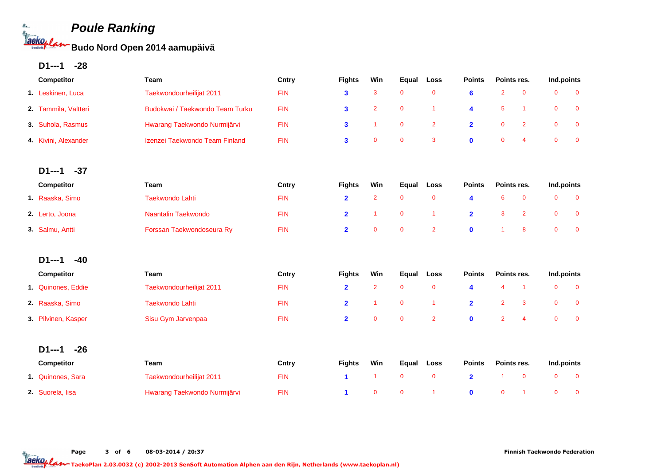**Budo Nord Open 2014 aamupäivä**

**D1---1 -28**

le.

**Laeko<sub>p</sub>l** 

| Competitor             | Team                            | Cntry      | <b>Fights</b>  | Win                     | Equal       | Loss           | <b>Points</b>           | Points res.             |                      | Ind.points   |             |
|------------------------|---------------------------------|------------|----------------|-------------------------|-------------|----------------|-------------------------|-------------------------|----------------------|--------------|-------------|
| 1. Leskinen, Luca      | Taekwondourheilijat 2011        | <b>FIN</b> | 3              | 3                       | $\mathbf 0$ | $\pmb{0}$      | $6\phantom{a}$          | $\overline{2}$          | $\pmb{0}$            | $\mathbf 0$  | $\mathbf 0$ |
| 2. Tammila, Valtteri   | Budokwai / Taekwondo Team Turku | <b>FIN</b> | $\mathbf{3}$   | $\overline{2}$          | $\mathbf 0$ | $\mathbf{1}$   | 4                       | $5\phantom{.0}$         | $\blacktriangleleft$ | $\mathbf 0$  | $\mathbf 0$ |
| 3. Suhola, Rasmus      | Hwarang Taekwondo Nurmijärvi    | <b>FIN</b> | $\mathbf{3}$   | $\mathbf{1}$            | $\mathbf 0$ | $\overline{2}$ | $\overline{\mathbf{2}}$ | $\mathbf 0$             | $\overline{2}$       | $\mathbf 0$  | $\mathbf 0$ |
| 4 Kivini, Alexander    | Izenzei Taekwondo Team Finland  | <b>FIN</b> | $\mathbf{3}$   | $\mathbf 0$             | $\mathbf 0$ | 3              | $\mathbf 0$             | $\mathbf 0$             | $\overline{4}$       | $\mathbf 0$  | $\mathbf 0$ |
|                        |                                 |            |                |                         |             |                |                         |                         |                      |              |             |
| $-37$<br><b>D1---1</b> |                                 |            |                |                         |             |                |                         |                         |                      |              |             |
| Competitor             | Team                            | Cntry      | <b>Fights</b>  | Win                     | Equal       | Loss           | <b>Points</b>           | Points res.             |                      | Ind.points   |             |
| 1. Raaska, Simo        | <b>Taekwondo Lahti</b>          | <b>FIN</b> | $\overline{2}$ | $\overline{\mathbf{c}}$ | $\mathbf 0$ | $\pmb{0}$      | 4                       | 6                       | $\pmb{0}$            | $\mathbf 0$  | $\mathbf 0$ |
| 2. Lerto, Joona        | Naantalin Taekwondo             | <b>FIN</b> | $\overline{2}$ | $\overline{1}$          | $\mathbf 0$ | $\mathbf{1}$   | $\overline{\mathbf{2}}$ | 3                       | $\overline{2}$       | $\mathbf 0$  | $\mathbf 0$ |
| 3. Salmu, Antti        | Forssan Taekwondoseura Ry       | <b>FIN</b> | $\overline{2}$ | $\mathbf{0}$            | $\mathbf 0$ | $\overline{2}$ | $\mathbf{0}$            | $\overline{1}$          | 8                    | $\mathbf 0$  | $\mathbf 0$ |
| $-40$<br>$D1--1$       |                                 |            |                |                         |             |                |                         |                         |                      |              |             |
| Competitor             | Team                            | Cntry      | <b>Fights</b>  | Win                     | Equal       | Loss           | <b>Points</b>           | Points res.             |                      | Ind.points   |             |
| 1 Quinones, Eddie      | Taekwondourheilijat 2011        | <b>FIN</b> | $\overline{2}$ | $\overline{2}$          | $\mathbf 0$ | $\mathbf 0$    | 4                       | $\overline{\mathbf{4}}$ | $\blacktriangleleft$ | $\mathbf 0$  | $\mathbf 0$ |
| 2. Raaska, Simo        | <b>Taekwondo Lahti</b>          | <b>FIN</b> | $\mathbf{2}$   | $\overline{1}$          | $\mathbf 0$ | $\mathbf{1}$   | $\overline{\mathbf{2}}$ | $\overline{2}$          | 3                    | $\mathbf 0$  | $\mathbf 0$ |
| 3. Pilvinen, Kasper    | Sisu Gym Jarvenpaa              | <b>FIN</b> | $\overline{2}$ | $\mathbf 0$             | $\mathbf 0$ | $\overline{2}$ | $\mathbf 0$             | $\overline{2}$          | $\overline{4}$       | $\mathbf 0$  | $\mathbf 0$ |
|                        |                                 |            |                |                         |             |                |                         |                         |                      |              |             |
| $-26$<br>D1---1        |                                 |            |                |                         |             |                |                         |                         |                      |              |             |
| Competitor             | Team                            | Cntry      | <b>Fights</b>  | Win                     | Equal       | Loss           | <b>Points</b>           | Points res.             |                      | Ind.points   |             |
| 1. Quinones, Sara      | Taekwondourheilijat 2011        | <b>FIN</b> | $\mathbf{1}$   | $\mathbf{1}$            | $\mathbf 0$ | $\mathbf 0$    | $\overline{2}$          | $\overline{1}$          | $\mathbf 0$          | $\mathbf{0}$ | $\mathbf 0$ |
| 2. Suorela, lisa       | Hwarang Taekwondo Nurmijärvi    | <b>FIN</b> | 1              | $\mathbf{0}$            | $\mathbf 0$ | $\overline{1}$ | $\mathbf{0}$            | $\mathbf 0$             | -1                   | $\mathbf 0$  | $\mathbf 0$ |

Page 3 of 6 08-03-2014 / 20:37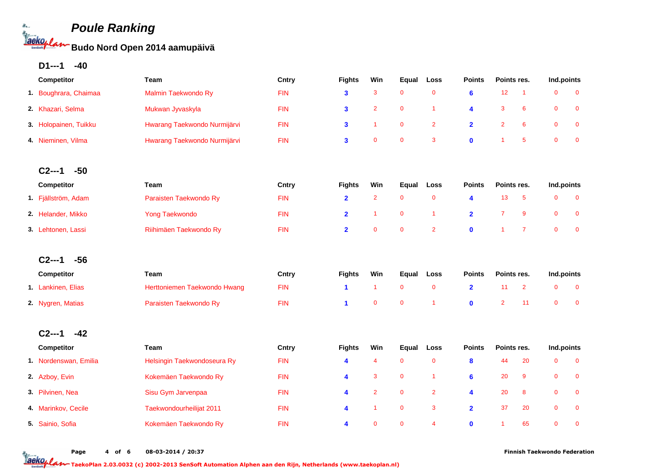**Budo Nord Open 2014 aamupäivä**

**D1---1 -40**

le.

**Taekoy L** 

| Competitor            | Team                         | Cntry      | <b>Fights</b>           | Win            | Equal       | Loss                 | <b>Points</b>           | Points res.    |                 | Ind.points  |             |
|-----------------------|------------------------------|------------|-------------------------|----------------|-------------|----------------------|-------------------------|----------------|-----------------|-------------|-------------|
| 1. Boughrara, Chaimaa | Malmin Taekwondo Ry          | <b>FIN</b> | $\overline{\mathbf{3}}$ | 3              | $\mathbf 0$ | $\pmb{0}$            | $6\phantom{a}$          | 12             | $\overline{1}$  | $\mathbf 0$ | $\mathbf 0$ |
| 2 Khazari, Selma      | Mukwan Jyvaskyla             | <b>FIN</b> | $\mathbf{3}$            | $\overline{2}$ | $\mathbf 0$ | $\mathbf{1}$         | 4                       | $\mathbf{3}$   | $6\phantom{1}6$ | $\mathbf 0$ | $\mathbf 0$ |
| 3. Holopainen, Tuikku | Hwarang Taekwondo Nurmijärvi | <b>FIN</b> | $\mathbf{3}$            | $\mathbf{1}$   | $\pmb{0}$   | $\mathbf 2$          | $\overline{\mathbf{2}}$ | $\overline{2}$ | $6\phantom{a}$  | $\mathbf 0$ | $\pmb{0}$   |
| 4. Nieminen, Vilma    | Hwarang Taekwondo Nurmijärvi | <b>FIN</b> | $\mathbf{3}$            | $\mathbf 0$    | $\mathbf 0$ | 3                    | $\mathbf 0$             | 1              | 5               | $\mathbf 0$ | $\mathbf 0$ |
|                       |                              |            |                         |                |             |                      |                         |                |                 |             |             |
| $C_{2--1}$<br>$-50$   |                              |            |                         |                |             |                      |                         |                |                 |             |             |
| Competitor            | Team                         | Cntry      | <b>Fights</b>           | Win            | Equal       | Loss                 | <b>Points</b>           | Points res.    |                 | Ind.points  |             |
| 1. Fjällström, Adam   | Paraisten Taekwondo Ry       | <b>FIN</b> | $\overline{2}$          | $\overline{2}$ | $\mathbf 0$ | $\mathbf 0$          | 4                       | 13             | 5               | $\mathbf 0$ | $\mathbf 0$ |
| 2. Helander, Mikko    | <b>Yong Taekwondo</b>        | <b>FIN</b> | $\overline{\mathbf{2}}$ | $\overline{1}$ | $\pmb{0}$   | $\mathbf{1}$         | $\overline{2}$          | $\overline{7}$ | 9               | $\mathbf 0$ | $\bf{0}$    |
| 3. Lehtonen, Lassi    | Riihimäen Taekwondo Ry       | <b>FIN</b> | $\overline{\mathbf{2}}$ | $\mathbf 0$    | $\mathbf 0$ | $\overline{2}$       | $\mathbf 0$             | 1              | $\overline{7}$  | $\mathbf 0$ | $\mathbf 0$ |
|                       |                              |            |                         |                |             |                      |                         |                |                 |             |             |
| $-56$<br>$C2--1$      |                              |            |                         |                |             |                      |                         |                |                 |             |             |
| Competitor            | Team                         | Cntry      | <b>Fights</b>           | Win            | Equal       | Loss                 | <b>Points</b>           | Points res.    |                 | Ind.points  |             |
| 1. Lankinen, Elias    | Herttoniemen Taekwondo Hwang | <b>FIN</b> | $\mathbf{1}$            | $\mathbf{1}$   | $\mathbf 0$ | $\pmb{0}$            | $\overline{\mathbf{2}}$ | 11             | $\overline{2}$  | $\mathbf 0$ | $\mathbf 0$ |
| 2. Nygren, Matias     | Paraisten Taekwondo Ry       | <b>FIN</b> | $\blacktriangleleft$    | $\mathbf 0$    | $\mathbf 0$ | $\blacktriangleleft$ | $\mathbf 0$             | $\overline{2}$ | 11              | $\mathbf 0$ | $\mathbf 0$ |
|                       |                              |            |                         |                |             |                      |                         |                |                 |             |             |
| $-42$<br>$C2--1$      |                              |            |                         |                |             |                      |                         |                |                 |             |             |
| Competitor            | Team                         | Cntry      | <b>Fights</b>           | Win            | Equal       | Loss                 | <b>Points</b>           | Points res.    |                 | Ind.points  |             |
| 1. Nordenswan, Emilia | Helsingin Taekwondoseura Ry  | <b>FIN</b> | 4                       | 4              | $\mathbf 0$ | $\mathbf 0$          | 8                       | 44             | 20              | $\mathbf 0$ | $\mathbf 0$ |
| 2. Azboy, Evin        | Kokemäen Taekwondo Ry        | <b>FIN</b> | 4                       | 3              | $\mathbf 0$ | $\mathbf{1}$         | 6                       | 20             | 9               | $\mathbf 0$ | $\mathbf 0$ |
| 3. Pilvinen, Nea      | Sisu Gym Jarvenpaa           | <b>FIN</b> | 4                       | $\overline{2}$ | $\pmb{0}$   | $\overline{2}$       | 4                       | 20             | 8               | $\mathbf 0$ | $\bf{0}$    |
| 4. Marinkov, Cecile   | Taekwondourheilijat 2011     | <b>FIN</b> | 4                       | $\mathbf{1}$   | $\mathbf 0$ | $\mathbf{3}$         | $\overline{2}$          | 37             | 20              | $\mathbf 0$ | $\mathbf 0$ |
| 5. Sainio, Sofia      | Kokemäen Taekwondo Ry        | <b>FIN</b> | 4                       | $\mathbf 0$    | $\mathbf 0$ | $\overline{4}$       | $\mathbf 0$             | 1              | 65              | $\mathbf 0$ | $\mathbf 0$ |
|                       |                              |            |                         |                |             |                      |                         |                |                 |             |             |

Page 4 of 6 08-03-2014 / 20:37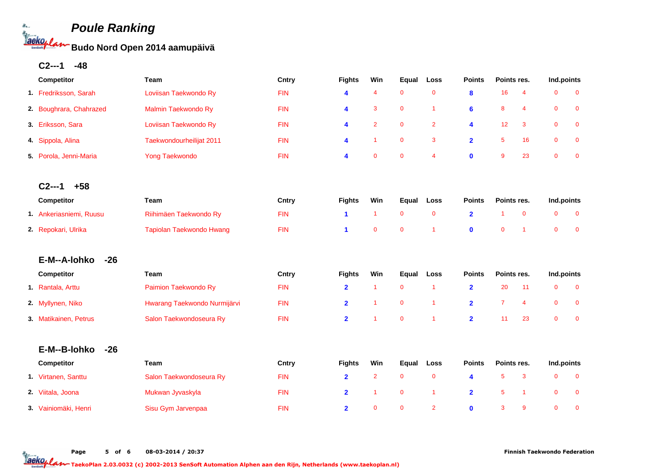**Budo Nord Open 2014 aamupäivä**

**C2---1 -48**

le. **aeko<sub>p</sub>e** 

| Competitor              | Team                         | Cntry      | <b>Fights</b>  | Win                  | Equal       | Loss           | <b>Points</b>  | Points res.    |                      | Ind.points   |             |  |
|-------------------------|------------------------------|------------|----------------|----------------------|-------------|----------------|----------------|----------------|----------------------|--------------|-------------|--|
| 1. Fredriksson, Sarah   | Loviisan Taekwondo Ry        | <b>FIN</b> | 4              | 4                    | $\mathbf 0$ | $\mathbf 0$    | 8              | 16             | $\overline{4}$       | $\mathbf{0}$ | $\mathbf 0$ |  |
| 2. Boughrara, Chahrazed | Malmin Taekwondo Ry          | <b>FIN</b> | 4              | 3                    | $\mathbf 0$ | $\mathbf{1}$   | $6\phantom{a}$ | 8              | $\overline{4}$       | $\mathbf 0$  | $\mathbf 0$ |  |
| 3. Eriksson, Sara       | Loviisan Taekwondo Ry        | <b>FIN</b> | 4              | $\overline{2}$       | $\mathbf 0$ | $\overline{2}$ | 4              | 12             | 3                    | $\mathbf 0$  | $\mathbf 0$ |  |
| 4. Sippola, Alina       | Taekwondourheilijat 2011     | <b>FIN</b> | 4              | $\blacktriangleleft$ | $\mathbf 0$ | 3              | $\overline{2}$ | $\overline{5}$ | 16                   | $\mathbf 0$  | $\mathbf 0$ |  |
| 5. Porola, Jenni-Maria  | Yong Taekwondo               | <b>FIN</b> | 4              | $\mathbf{0}$         | $\mathbf 0$ | $\overline{4}$ | $\mathbf{0}$   | 9              | 23                   | $\mathbf{0}$ | $\mathbf 0$ |  |
| $C2--1$<br>$+58$        |                              |            |                |                      |             |                |                |                |                      |              |             |  |
| Competitor              | Team                         | Cntry      | <b>Fights</b>  | Win                  | Equal       | <b>Loss</b>    | <b>Points</b>  | Points res.    |                      | Ind.points   |             |  |
| 1. Ankeriasniemi, Ruusu | Riihimäen Taekwondo Ry       | <b>FIN</b> | 1              | $\overline{1}$       | $\mathbf 0$ | $\mathbf 0$    | $\overline{2}$ | -1             | $\mathbf 0$          | $\mathbf 0$  | $\mathbf 0$ |  |
| 2. Repokari, Ulrika     | Tapiolan Taekwondo Hwang     | <b>FIN</b> | 1              | $\mathbf 0$          | $\mathbf 0$ | $\overline{1}$ | $\mathbf{0}$   | $\mathbf 0$    | 1                    | $\mathbf{0}$ | $\mathbf 0$ |  |
| E-M--A-lohko<br>$-26$   |                              |            |                |                      |             |                |                |                |                      |              |             |  |
| Competitor              | Team                         | Cntry      | <b>Fights</b>  | Win                  | Equal       | <b>Loss</b>    | <b>Points</b>  | Points res.    |                      | Ind.points   |             |  |
| 1. Rantala, Arttu       | Paimion Taekwondo Ry         | <b>FIN</b> | $\overline{2}$ | 1                    | $\mathbf 0$ | $\mathbf{1}$   | $\overline{2}$ | 20             | 11                   | $\mathbf 0$  | $\mathbf 0$ |  |
| 2. Myllynen, Niko       | Hwarang Taekwondo Nurmijärvi | <b>FIN</b> | $\overline{2}$ | 1                    | $\mathbf 0$ | $\mathbf{1}$   | $\overline{2}$ | $\overline{7}$ | $\overline{4}$       | $\mathbf 0$  | $\mathbf 0$ |  |
| 3. Matikainen, Petrus   | Salon Taekwondoseura Ry      | <b>FIN</b> | $\overline{2}$ | 1                    | $\mathbf 0$ | $\overline{1}$ | $\overline{2}$ | 11             | 23                   | $\mathbf{0}$ | $\mathbf 0$ |  |
| E-M--B-lohko<br>$-26$   |                              |            |                |                      |             |                |                |                |                      |              |             |  |
| Competitor              | Team                         | Cntry      | <b>Fights</b>  | Win                  | Equal       | Loss           | <b>Points</b>  | Points res.    |                      | Ind.points   |             |  |
| 1 Virtanen, Santtu      | Salon Taekwondoseura Ry      | <b>FIN</b> | $\overline{2}$ | $\overline{2}$       | $\mathbf 0$ | $\mathbf 0$    | 4              | $\overline{5}$ | 3                    | $\mathbf 0$  | $\mathbf 0$ |  |
| 2. Viitala, Joona       | Mukwan Jyvaskyla             | <b>FIN</b> | $\overline{2}$ | 1                    | $\mathbf 0$ | $\mathbf{1}$   | $\overline{2}$ | 5              | $\blacktriangleleft$ | $\mathbf{0}$ | $\mathbf 0$ |  |
| 3. Vainiomäki, Henri    | Sisu Gym Jarvenpaa           | <b>FIN</b> | $\overline{2}$ | $\mathbf{0}$         | $\mathbf 0$ | $\overline{2}$ | $\bf{0}$       | 3              | 9                    | $\Omega$     | $\mathbf 0$ |  |